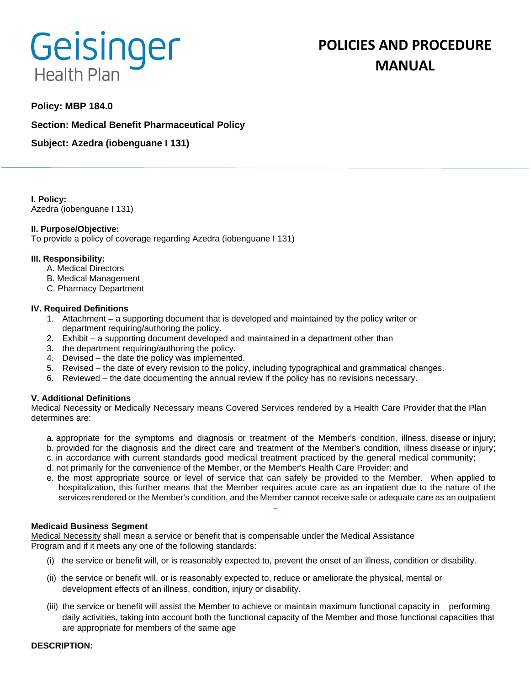# Geisinger **Health Plan**

# **Policy: MBP 184.0**

**Section: Medical Benefit Pharmaceutical Policy**

**Subject: Azedra (iobenguane I 131)**

**I. Policy:** Azedra (iobenguane I 131)

## **II. Purpose/Objective:**

To provide a policy of coverage regarding Azedra (iobenguane I 131)

## **III. Responsibility:**

- A. Medical Directors
- B. Medical Management
- C. Pharmacy Department

## **IV. Required Definitions**

- 1. Attachment a supporting document that is developed and maintained by the policy writer or department requiring/authoring the policy.
- 2. Exhibit a supporting document developed and maintained in a department other than
- 3. the department requiring/authoring the policy.
- 4. Devised the date the policy was implemented.
- 5. Revised the date of every revision to the policy, including typographical and grammatical changes.
- 6. Reviewed the date documenting the annual review if the policy has no revisions necessary.

# **V. Additional Definitions**

Medical Necessity or Medically Necessary means Covered Services rendered by a Health Care Provider that the Plan determines are:

- a. appropriate for the symptoms and diagnosis or treatment of the Member's condition, illness, disease or injury; b. provided for the diagnosis and the direct care and treatment of the Member's condition, illness disease or injury;
- c. in accordance with current standards good medical treatment practiced by the general medical community;
- d. not primarily for the convenience of the Member, or the Member's Health Care Provider; and
- e. the most appropriate source or level of service that can safely be provided to the Member. When applied to hospitalization, this further means that the Member requires acute care as an inpatient due to the nature of the services rendered or the Member's condition, and the Member cannot receive safe or adequate care as an outpatient

#### **Medicaid Business Segment**

Medical Necessity shall mean a service or benefit that is compensable under the Medical Assistance Program and if it meets any one of the following standards:

- (i) the service or benefit will, or is reasonably expected to, prevent the onset of an illness, condition or disability.
- (ii) the service or benefit will, or is reasonably expected to, reduce or ameliorate the physical, mental or development effects of an illness, condition, injury or disability.
- (iii) the service or benefit will assist the Member to achieve or maintain maximum functional capacity in performing daily activities, taking into account both the functional capacity of the Member and those functional capacities that are appropriate for members of the same age

#### **DESCRIPTION:**